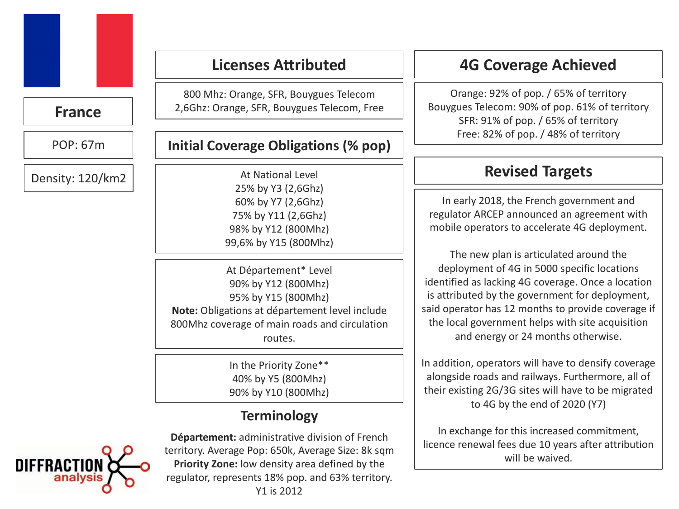# **France**

POP: 67m

Density: 120/km2 

# **Licenses Attributed**

800 Mhz: Orange, SFR, Bouygues Telecom 2,6Ghz: Orange, SFR, Bouygues Telecom, Free

#### **Initial Coverage Obligations (% pop)**

At National Level 25% by Y3 (2,6Ghz) 60% by Y7 (2,6Ghz) 75% by Y11 (2,6Ghz) 98% by Y12 (800Mhz) 99,6% by Y15 (800Mhz)

At Département\* Level 90% by Y12 (800Mhz) 95% by Y15 (800Mhz) Note: Obligations at département level include 800Mhz coverage of main roads and circulation routes.

> In the Priority Zone\*\* 40% by Y5 (800Mhz) 90% by Y10 (800Mhz)

# **Terminology**



**Département:** administrative division of French territory. Average Pop: 650k, Average Size: 8k sqm **Priority Zone:** low density area defined by the regulator, represents 18% pop. and 63% territory. Y1 is 2012

# **4G Coverage Achieved**

Orange: 92% of pop. / 65% of territory Bouygues Telecom: 90% of pop. 61% of territory SFR: 91% of pop. / 65% of territory Free: 82% of pop. / 48% of territory

# **Revised Targets**

In early 2018, the French government and regulator ARCEP announced an agreement with mobile operators to accelerate 4G deployment.

The new plan is articulated around the deployment of 4G in 5000 specific locations identified as lacking 4G coverage. Once a location is attributed by the government for deployment, said operator has 12 months to provide coverage if the local government helps with site acquisition and energy or 24 months otherwise.

In addition, operators will have to densify coverage alongside roads and railways. Furthermore, all of their existing 2G/3G sites will have to be migrated to  $4G$  by the end of  $2020 (Y7)$ 

In exchange for this increased commitment, licence renewal fees due 10 years after attribution will be waived.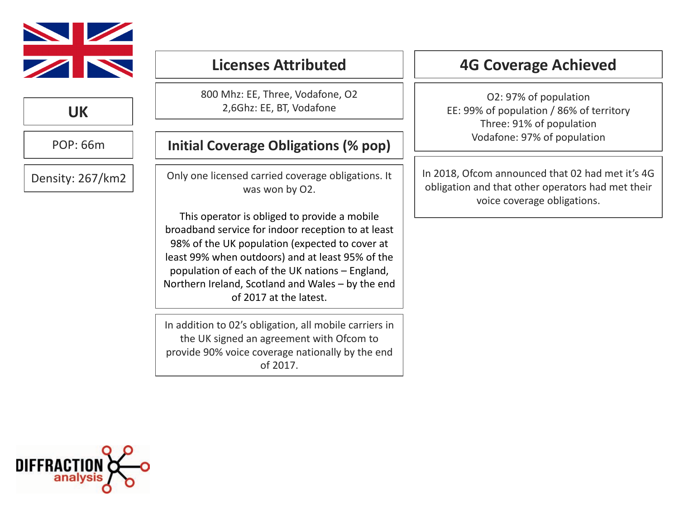

**UK**

POP: 66m

Density: 267/km2

# **Licenses Attributed**

800 Mhz: EE, Three, Vodafone, O2 2,6Ghz: EE, BT, Vodafone

## **Initial Coverage Obligations (% pop)**

Only one licensed carried coverage obligations. It was won by O2.

This operator is obliged to provide a mobile broadband service for indoor reception to at least 98% of the UK population (expected to cover at least 99% when outdoors) and at least 95% of the population of each of the UK nations - England, Northern Ireland, Scotland and Wales – by the end of 2017 at the latest.

In addition to 02's obligation, all mobile carriers in the UK signed an agreement with Ofcom to provide 90% voice coverage nationally by the end of 2017. 

# **4G Coverage Achieved**

O2: 97% of population EE: 99% of population / 86% of territory Three: 91% of population Vodafone: 97% of population

In 2018, Ofcom announced that 02 had met it's 4G obligation and that other operators had met their voice coverage obligations. 

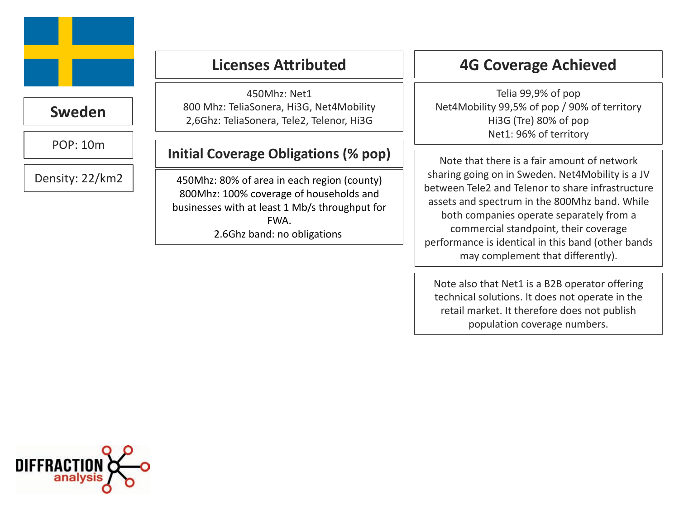

## **Sweden**

POP: 10m 

Density: 22/km2 

# **Licenses Attributed**

450Mhz: Net1 800 Mhz: TeliaSonera, Hi3G, Net4Mobility 2,6Ghz: TeliaSonera, Tele2, Telenor, Hi3G

#### **Initial Coverage Obligations (% pop)**

450Mhz: 80% of area in each region (county) 800Mhz: 100% coverage of households and businesses with at least 1 Mb/s throughput for FWA. 2.6Ghz band: no obligations

**4G Coverage Achieved**

Telia 99,9% of pop Net4Mobility 99,5% of pop / 90% of territory Hi3G (Tre) 80% of pop Net1: 96% of territory

Note that there is a fair amount of network sharing going on in Sweden. Net4Mobility is a JV between Tele2 and Telenor to share infrastructure assets and spectrum in the 800Mhz band. While both companies operate separately from a commercial standpoint, their coverage performance is identical in this band (other bands may complement that differently). 

Note also that Net1 is a B2B operator offering technical solutions. It does not operate in the retail market. It therefore does not publish population coverage numbers.

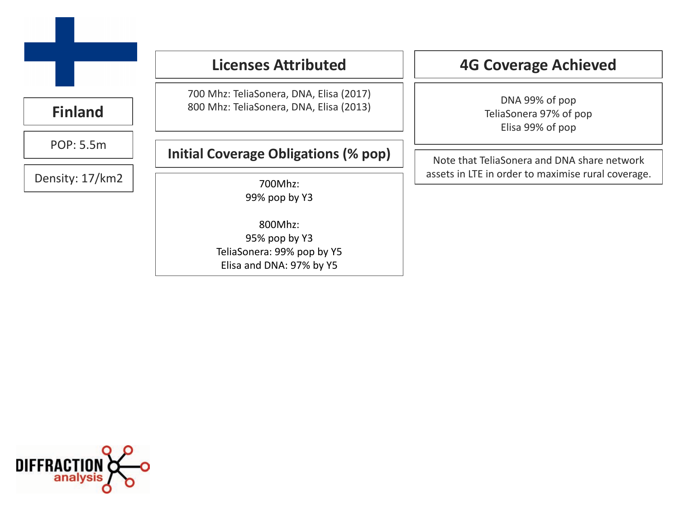|                 | <b>Licenses Attributed</b>                                                         | <b>4G Coverage Achieved</b>                                  |  |
|-----------------|------------------------------------------------------------------------------------|--------------------------------------------------------------|--|
| <b>Finland</b>  | 700 Mhz: TeliaSonera, DNA, Elisa (2017)<br>800 Mhz: TeliaSonera, DNA, Elisa (2013) | DNA 99% of pop<br>TeliaSonera 97% of pop<br>Elisa 99% of pop |  |
| POP: 5.5m       | <b>Initial Coverage Obligations (% pop)</b>                                        | Note that TeliaSonera and DNA share network                  |  |
| Density: 17/km2 | 700Mhz:<br>99% pop by Y3                                                           | assets in LTE in order to maximise rural coverage.           |  |
|                 | 800Mhz:<br>95% pop by Y3<br>TeliaSonera: 99% pop by Y5<br>Elisa and DNA: 97% by Y5 |                                                              |  |

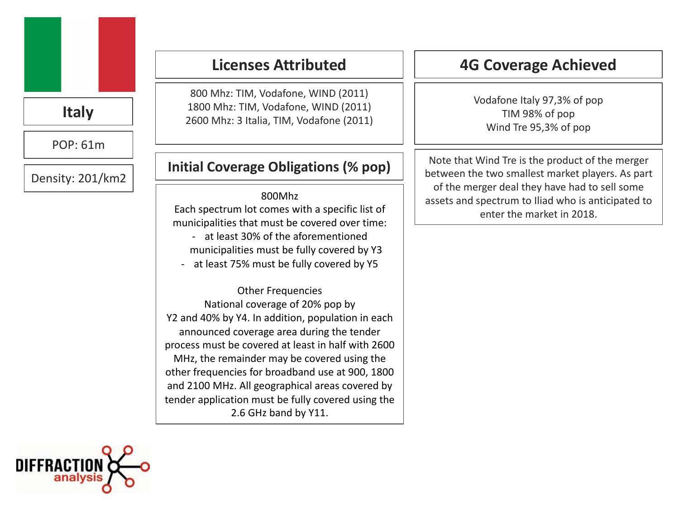# **Italy**

POP: 61m 

Density: 201/km2

# **Licenses Attributed**

800 Mhz: TIM, Vodafone, WIND (2011) 1800 Mhz: TIM, Vodafone, WIND (2011) 2600 Mhz: 3 Italia, TIM, Vodafone (2011)

#### **Initial Coverage Obligations (% pop)**

#### 800Mhz

Each spectrum lot comes with a specific list of municipalities that must be covered over time: - at least 30% of the aforementioned

municipalities must be fully covered by Y3

- at least 75% must be fully covered by Y5

Other Frequencies National coverage of 20% pop by Y2 and 40% by Y4. In addition, population in each announced coverage area during the tender process must be covered at least in half with 2600 MHz, the remainder may be covered using the other frequencies for broadband use at 900, 1800 and 2100 MHz. All geographical areas covered by tender application must be fully covered using the 2.6 GHz band by Y11.

# **4G Coverage Achieved**

Vodafone Italy 97,3% of pop TIM 98% of pop Wind Tre 95,3% of pop

Note that Wind Tre is the product of the merger between the two smallest market players. As part of the merger deal they have had to sell some assets and spectrum to Iliad who is anticipated to enter the market in 2018.

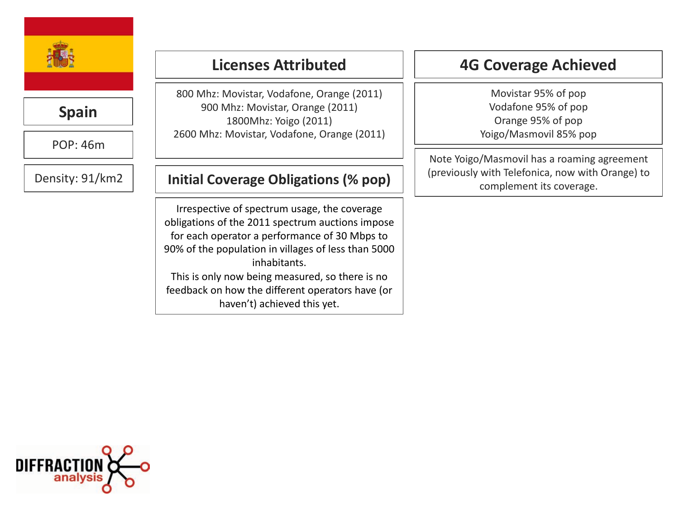

# **Spain**

POP: 46m 

Density: 91/km2

# **Licenses Attributed**

800 Mhz: Movistar, Vodafone, Orange (2011) 900 Mhz: Movistar, Orange (2011) 1800Mhz: Yoigo (2011) 2600 Mhz: Movistar, Vodafone, Orange (2011)

## **Initial Coverage Obligations (% pop)**

Irrespective of spectrum usage, the coverage obligations of the 2011 spectrum auctions impose for each operator a performance of 30 Mbps to 90% of the population in villages of less than 5000 inhabitants. This is only now being measured, so there is no feedback on how the different operators have (or haven't) achieved this yet.

# **4G Coverage Achieved**

Movistar 95% of pop Vodafone 95% of pop Orange 95% of pop Yoigo/Masmovil 85% pop

Note Yoigo/Masmovil has a roaming agreement (previously with Telefonica, now with Orange) to complement its coverage. 

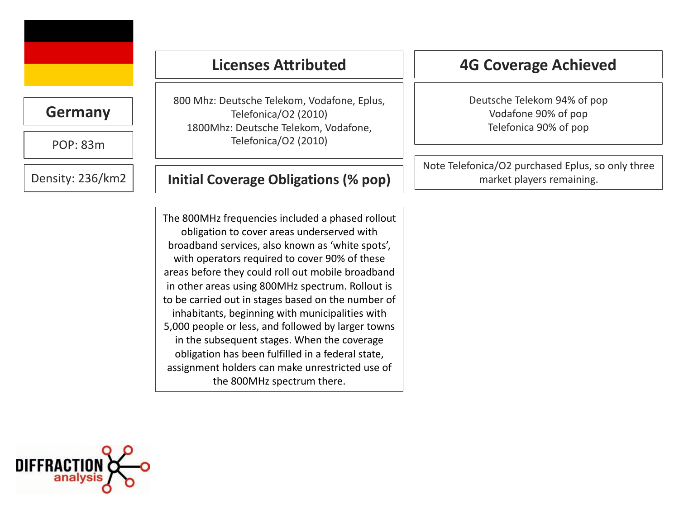

#### **Germany**

POP: 83m 

Density: 236/km2 

800 Mhz: Deutsche Telekom, Vodafone, Eplus, Telefonica/O2 (2010) 1800Mhz: Deutsche Telekom, Vodafone, Telefonica/O2 (2010)

**Licenses Attributed**

#### **Initial Coverage Obligations (% pop)**

The 800MHz frequencies included a phased rollout obligation to cover areas underserved with broadband services, also known as 'white spots', with operators required to cover 90% of these areas before they could roll out mobile broadband in other areas using 800MHz spectrum. Rollout is to be carried out in stages based on the number of inhabitants, beginning with municipalities with 5,000 people or less, and followed by larger towns in the subsequent stages. When the coverage obligation has been fulfilled in a federal state, assignment holders can make unrestricted use of the 800MHz spectrum there.

# **4G Coverage Achieved**

Deutsche Telekom 94% of pop Vodafone 90% of pop Telefonica 90% of pop

Note Telefonica/O2 purchased Eplus, so only three market players remaining. 

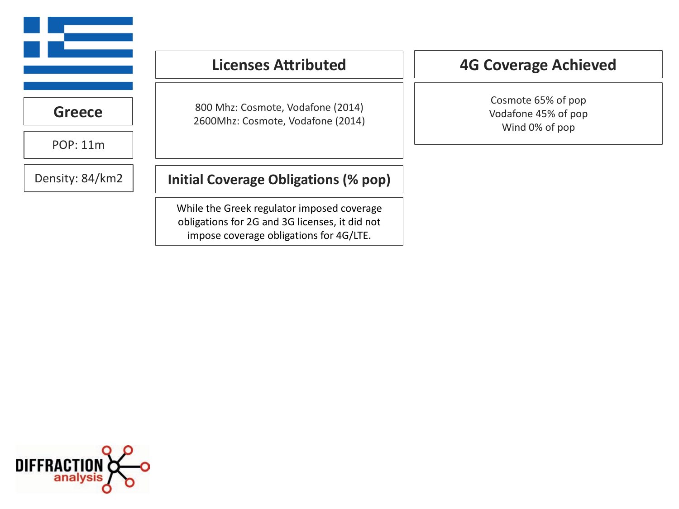|                 | <b>Licenses Attributed</b>                                                                                                              | <b>4G Coverage Achieved</b><br>Cosmote 65% of pop<br>Vodafone 45% of pop<br>Wind 0% of pop |  |
|-----------------|-----------------------------------------------------------------------------------------------------------------------------------------|--------------------------------------------------------------------------------------------|--|
| <b>Greece</b>   | 800 Mhz: Cosmote, Vodafone (2014)<br>2600Mhz: Cosmote, Vodafone (2014)                                                                  |                                                                                            |  |
| <b>POP: 11m</b> |                                                                                                                                         |                                                                                            |  |
| Density: 84/km2 | Initial Coverage Obligations (% pop)                                                                                                    |                                                                                            |  |
|                 | While the Greek regulator imposed coverage<br>obligations for 2G and 3G licenses, it did not<br>impose coverage obligations for 4G/LTE. |                                                                                            |  |

 $\equiv$ 

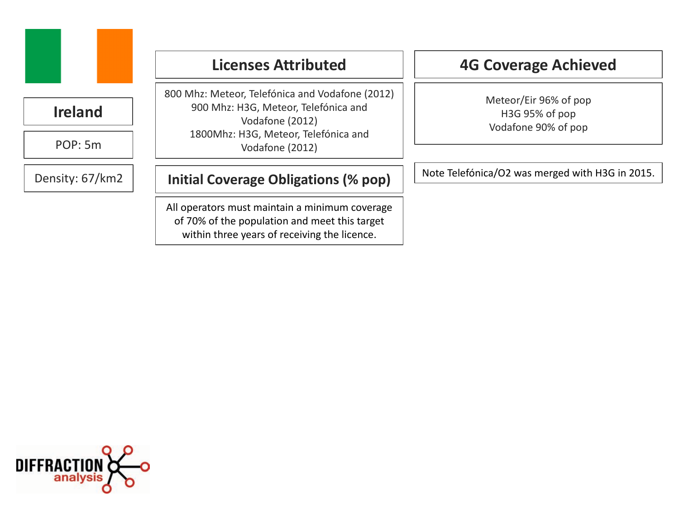

# **Ireland**

POP: 5m 

Density: 67/km2

# **Licenses Attributed**

800 Mhz: Meteor, Telefónica and Vodafone (2012) 900 Mhz: H3G, Meteor, Telefónica and Vodafone (2012) 1800Mhz: H3G, Meteor, Telefónica and Vodafone (2012)

## **Initial Coverage Obligations (% pop)**

All operators must maintain a minimum coverage of 70% of the population and meet this target within three years of receiving the licence.

# **4G Coverage Achieved**

Meteor/Eir 96% of pop H3G 95% of pop Vodafone 90% of pop

Note Telefónica/O2 was merged with H3G in 2015.